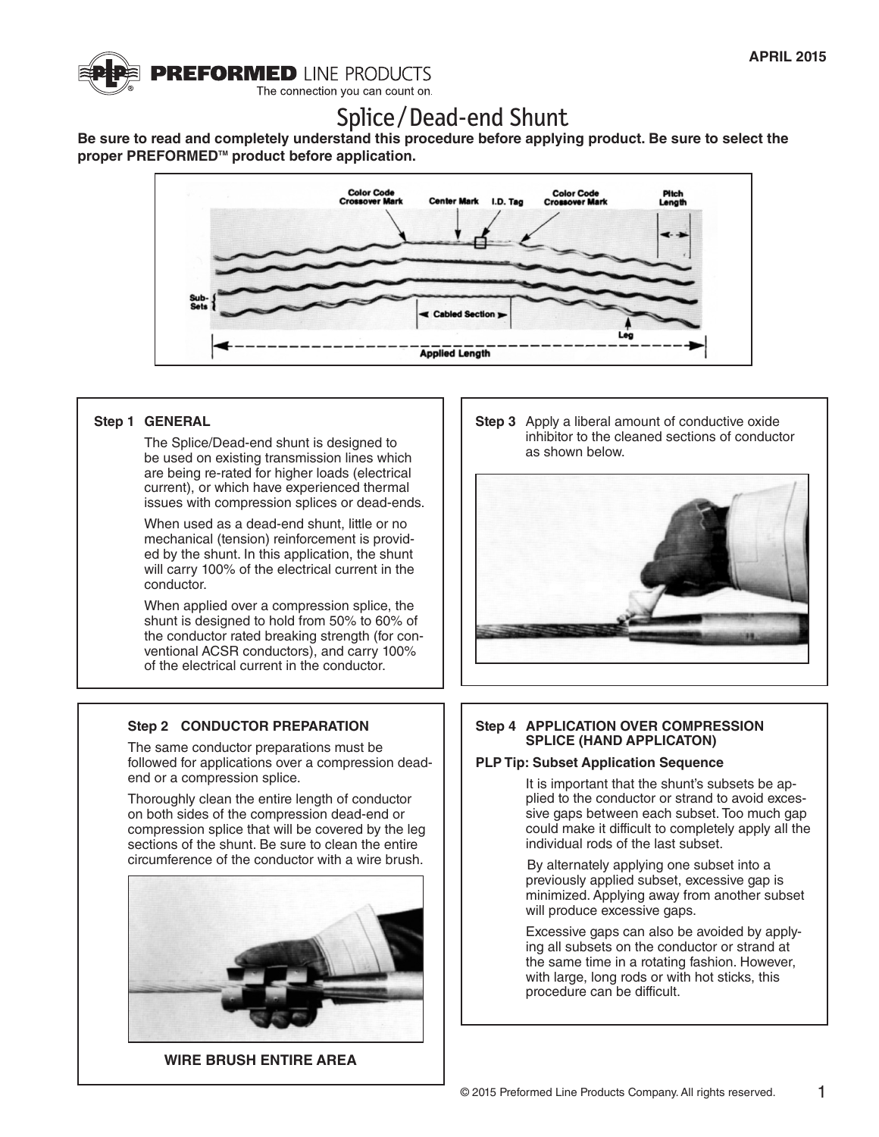

# Splice / Dead-end Shunt

**Be sure to read and completely understand this procedure before applying product. Be sure to select the**  proper PREFORMED<sup>™</sup> product before application.



## **Step 1 GENERAL**

The Splice/Dead-end shunt is designed to be used on existing transmission lines which are being re-rated for higher loads (electrical current), or which have experienced thermal issues with compression splices or dead-ends.

When used as a dead-end shunt, little or no mechanical (tension) reinforcement is provided by the shunt. In this application, the shunt will carry 100% of the electrical current in the conductor.

When applied over a compression splice, the shunt is designed to hold from 50% to 60% of the conductor rated breaking strength (for conventional ACSR conductors), and carry 100% of the electrical current in the conductor.

# **Step 2 CONDUCTOR PREPARATION**

The same conductor preparations must be followed for applications over a compression deadend or a compression splice.

Thoroughly clean the entire length of conductor on both sides of the compression dead-end or compression splice that will be covered by the leg sections of the shunt. Be sure to clean the entire circumference of the conductor with a wire brush.



**WIRE BRUSH ENTIRE AREA**

**Step 3** Apply a liberal amount of conductive oxide inhibitor to the cleaned sections of conductor as shown below.



## **Step 4 APPLICATION OVER COMPRESSION SPLICE (HAND APPLICATON)**

#### **PLP Tip: Subset Application Sequence**

It is important that the shunt's subsets be applied to the conductor or strand to avoid excessive gaps between each subset. Too much gap could make it difficult to completely apply all the individual rods of the last subset.

By alternately applying one subset into a previously applied subset, excessive gap is minimized. Applying away from another subset will produce excessive gaps.

Excessive gaps can also be avoided by applying all subsets on the conductor or strand at the same time in a rotating fashion. However, with large, long rods or with hot sticks, this procedure can be difficult.

1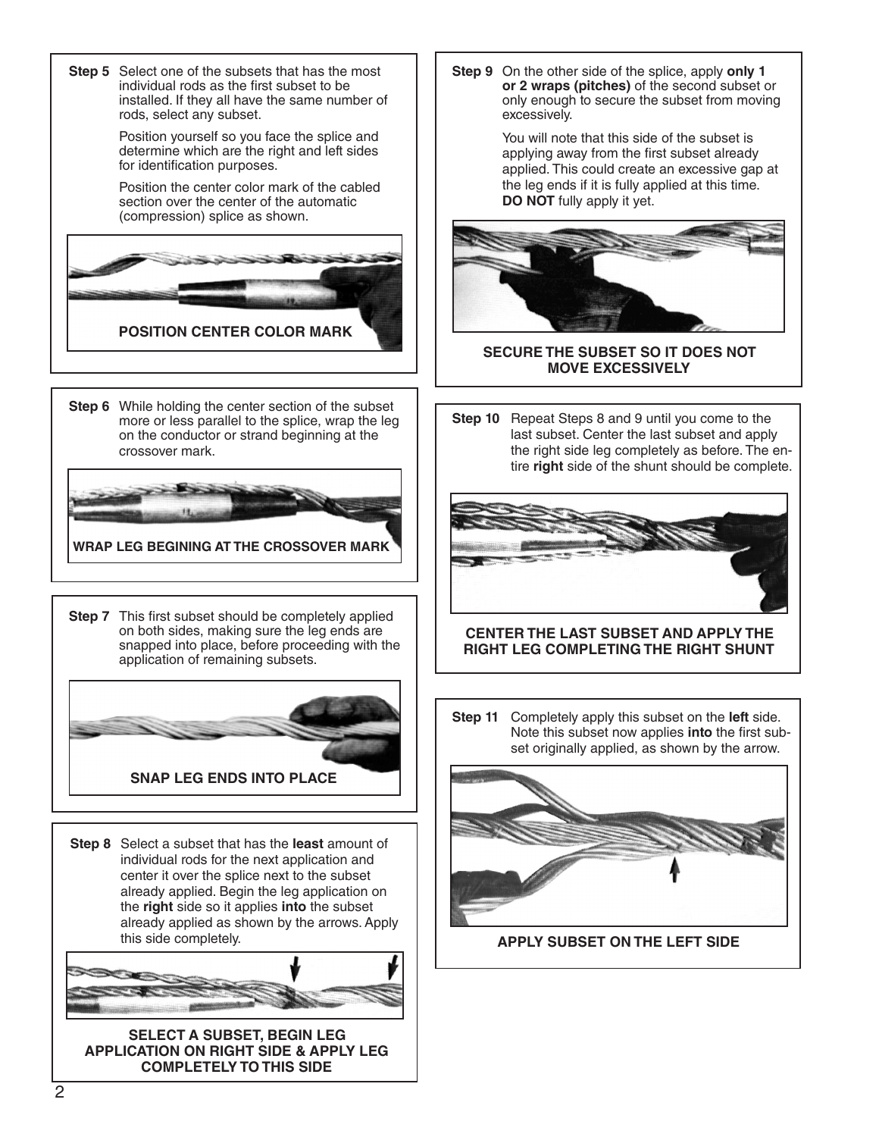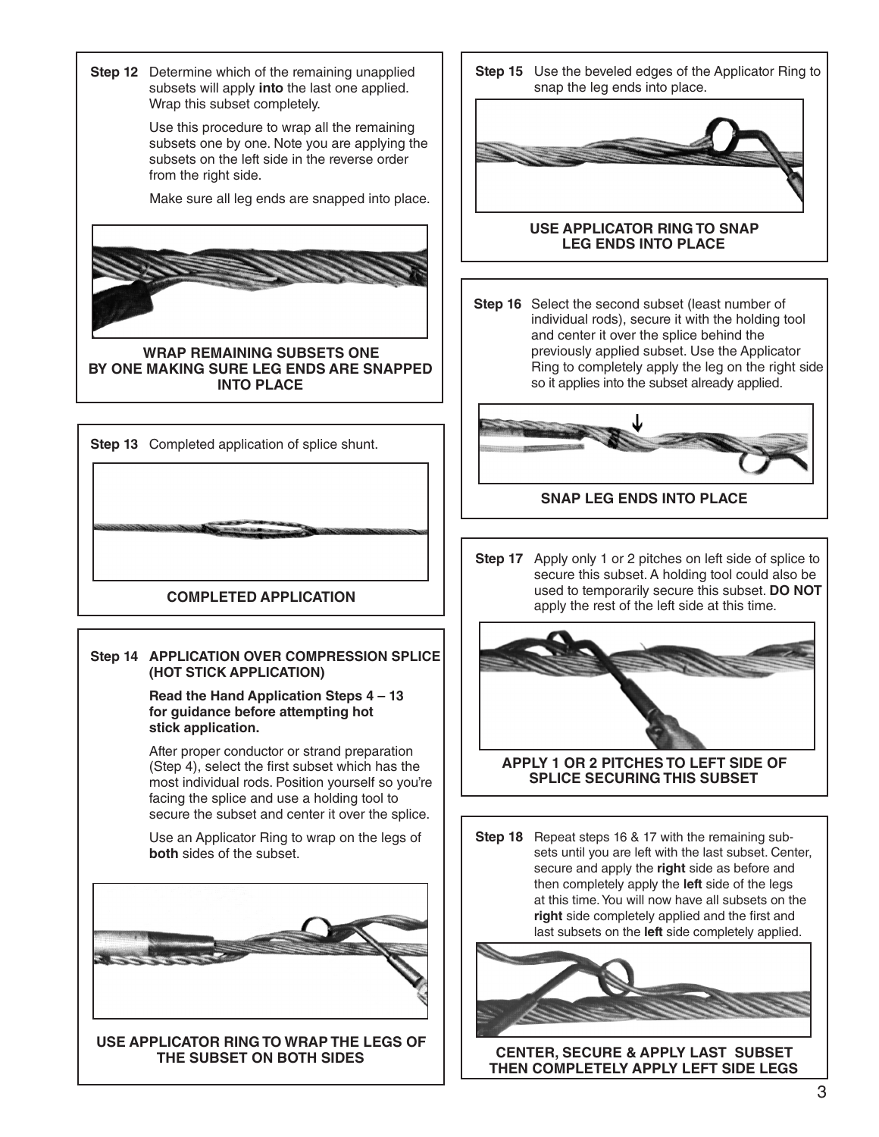